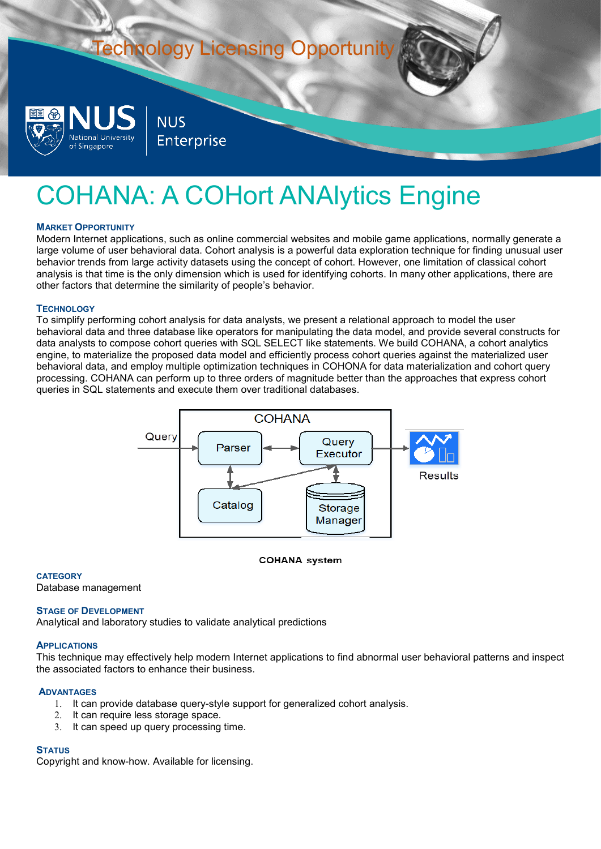# **Technology Licensing Opportunity NUS** National University Enterprise of Singapore

## COHANA: A COHort ANAlytics Engine

## **MARKET OPPORTUNITY**

Modern Internet applications, such as online commercial websites and mobile game applications, normally generate a large volume of user behavioral data. Cohort analysis is a powerful data exploration technique for finding unusual user behavior trends from large activity datasets using the concept of cohort. However, one limitation of classical cohort analysis is that time is the only dimension which is used for identifying cohorts. In many other applications, there are other factors that determine the similarity of people's behavior.

## **TECHNOLOGY**

To simplify performing cohort analysis for data analysts, we present a relational approach to model the user behavioral data and three database like operators for manipulating the data model, and provide several constructs for data analysts to compose cohort queries with SQL SELECT like statements. We build COHANA, a cohort analytics engine, to materialize the proposed data model and efficiently process cohort queries against the materialized user behavioral data, and employ multiple optimization techniques in COHONA for data materialization and cohort query processing. COHANA can perform up to three orders of magnitude better than the approaches that express cohort queries in SQL statements and execute them over traditional databases.



#### **COHANA** system

## **CATEGORY**

Database management

#### **STAGE OF DEVELOPMENT**

Analytical and laboratory studies to validate analytical predictions

#### **APPLICATIONS**

This technique may effectively help modern Internet applications to find abnormal user behavioral patterns and inspect the associated factors to enhance their business.

#### **ADVANTAGES**

- 1. It can provide database query-style support for generalized cohort analysis.
- 2. It can require less storage space.
- 3. It can speed up query processing time.

## **STATUS**

Copyright and know-how. Available for licensing.